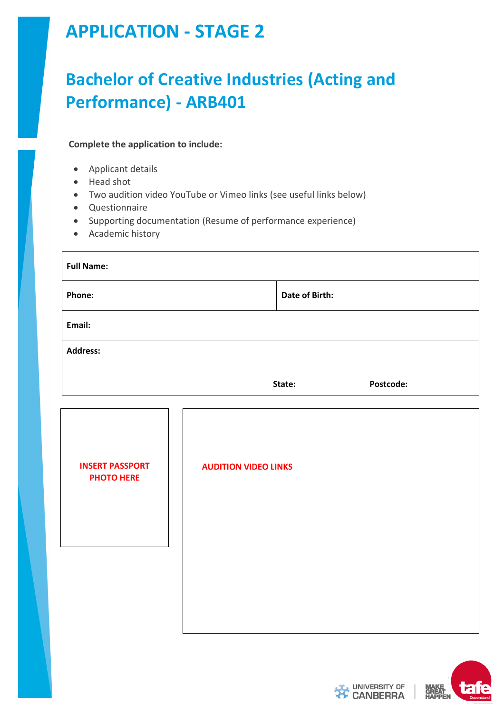# **APPLICATION - STAGE 2**

# **Bachelor of Creative Industries (Acting and Performance) - ARB401**

#### **Complete the application to include:**

- Applicant details
- Head shot
- Two audition video YouTube or Vimeo links (see useful links below)
- Questionnaire
- Supporting documentation (Resume of performance experience)
- Academic history

| <b>Full Name:</b>                           |                             |                |           |
|---------------------------------------------|-----------------------------|----------------|-----------|
| Phone:                                      |                             | Date of Birth: |           |
| Email:                                      |                             |                |           |
| <b>Address:</b>                             |                             |                |           |
|                                             |                             | State:         | Postcode: |
|                                             |                             |                |           |
| <b>INSERT PASSPORT</b><br><b>PHOTO HERE</b> | <b>AUDITION VIDEO LINKS</b> |                |           |
|                                             |                             |                |           |
|                                             |                             |                |           |
|                                             |                             |                |           |
|                                             |                             |                |           |



**UNIVERSITY OF CANBERRA**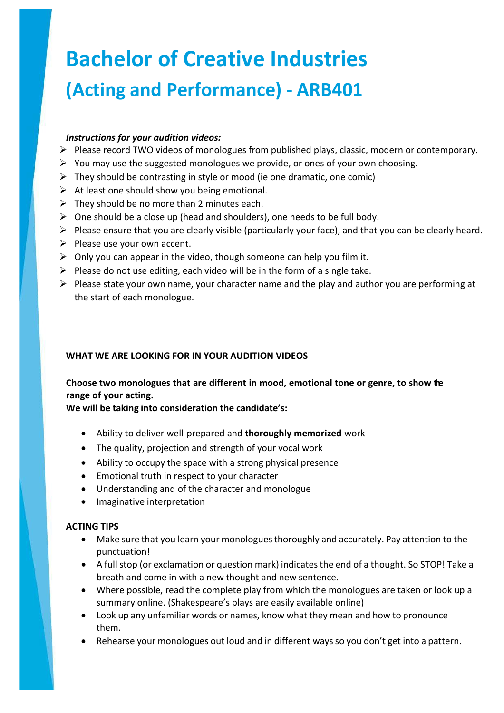# **Bachelor of Creative Industries (Acting and Performance) - ARB401**

#### *Instructions for your audition videos:*

- Please record TWO videos of monologues from published plays, classic, modern or contemporary.
- $\triangleright$  You may use the suggested monologues we provide, or ones of your own choosing.
- $\triangleright$  They should be contrasting in style or mood (ie one dramatic, one comic)
- $\triangleright$  At least one should show you being emotional.
- $\triangleright$  They should be no more than 2 minutes each.
- $\triangleright$  One should be a close up (head and shoulders), one needs to be full body.
- $\triangleright$  Please ensure that you are clearly visible (particularly your face), and that you can be clearly heard.
- $\triangleright$  Please use your own accent.
- $\triangleright$  Only you can appear in the video, though someone can help you film it.
- $\triangleright$  Please do not use editing, each video will be in the form of a single take.
- $\triangleright$  Please state your own name, your character name and the play and author you are performing at the start of each monologue.

#### **WHAT WE ARE LOOKING FOR IN YOUR AUDITION VIDEOS**

#### **Choose two monologues that are different in mood, emotional tone or genre, to show the range of your acting.**

**We will be taking into consideration the candidate's:**

- Ability to deliver well-prepared and **thoroughly memorized** work
- The quality, projection and strength of your vocal work
- Ability to occupy the space with a strong physical presence
- Emotional truth in respect to your character
- Understanding and of the character and monologue
- Imaginative interpretation

#### **ACTING TIPS**

- Make sure that you learn your monologuesthoroughly and accurately. Pay attention to the punctuation!
- A full stop (or exclamation or question mark) indicatesthe end of a thought. So STOP! Take a breath and come in with a new thought and new sentence.
- Where possible, read the complete play from which the monologues are taken or look up a summary online. (Shakespeare's plays are easily available online)
- Look up any unfamiliar words or names, know what they mean and how to pronounce them.
- Rehearse your monologues out loud and in different ways so you don't get into a pattern.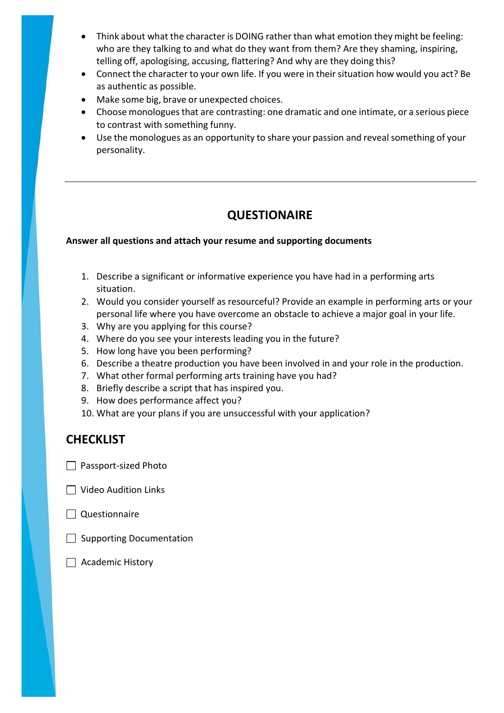- Think about what the character is DOING rather than what emotion they might be feeling: who are they talking to and what do they want from them? Are they shaming, inspiring, telling off, apologising, accusing, flattering? And why are they doing this?
- Connect the character to your own life. If you were in their situation how would you act? Be as authentic as possible.
- Make some big, brave or unexpected choices.
- Choose monologues that are contrasting: one dramatic and one intimate, or a serious piece to contrast with something funny.
- Use the monologues as an opportunity to share your passion and reveal something of your personality.

### **QUESTIONAIRE**

#### **Answer all questions and attach your resume and supporting documents**

- 1. Describe a significant or informative experience you have had in a performing arts situation.
- 2. Would you consider yourself as resourceful? Provide an example in performing arts or your personal life where you have overcome an obstacle to achieve a major goal in your life.
- 3. Why are you applying for this course?
- 4. Where do you see your interests leading you in the future?
- 5. How long have you been performing?
- 6. Describe a theatre production you have been involved in and your role in the production.
- 7. What other formal performing arts training have you had?
- 8. Briefly describe a script that has inspired you.
- 9. How does performance affect you?
- 10. What are your plans if you are unsuccessful with your application?

## **CHECKLIST**

- $\Box$  Passport-sized Photo
- □ Video Audition Links
- $\Box$  Questionnaire
- $\Box$  Supporting Documentation
- $\Box$  Academic History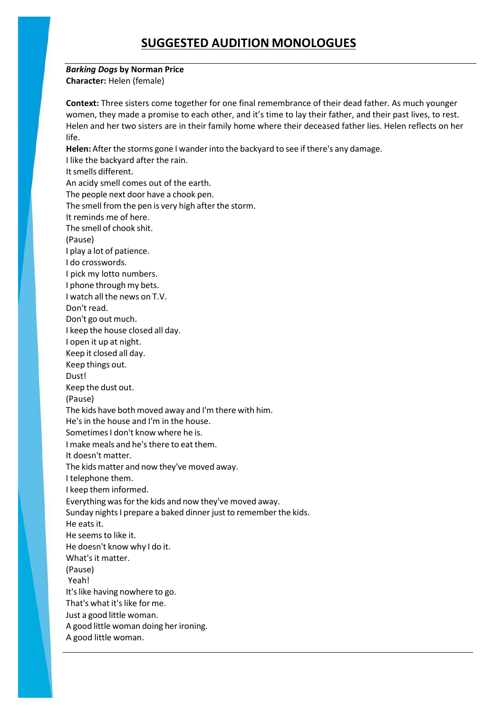## **SUGGESTED AUDITION MONOLOGUES**

#### *Barking Dogs* **by Norman Price**

**Character:** Helen (female)

**Context:** Three sisters come together for one final remembrance of their dead father. As much younger women, they made a promise to each other, and it's time to lay their father, and their past lives, to rest. Helen and her two sisters are in their family home where their deceased father lies. Helen reflects on her life.

Helen: After the storms gone I wander into the backyard to see if there's any damage. I like the backyard after the rain. Itsmells different. An acidy smell comes out of the earth. The people next door have a chook pen. The smell from the pen is very high after the storm. It reminds me of here. The smell of chook shit. (Pause) I play a lot of patience. I do crosswords. I pick my lotto numbers. I phone through my bets. I watch all the news on T.V. Don't read. Don't go out much. I keep the house closed all day. I open it up at night. Keep it closed all day. Keep things out. Dust! Keep the dust out. (Pause) The kids have both moved away and I'm there with him. He'sin the house and I'm in the house. Sometimes I don't know where he is. I make meals and he'sthere to eat them. It doesn't matter. The kids matter and now they've moved away. I telephone them. I keep them informed. Everything was for the kids and now they've moved away. Sunday nights I prepare a baked dinner just to remember the kids. He eats it. He seemsto like it. He doesn't know why I do it. What's it matter. (Pause) Yeah! It's like having nowhere to go. That's what it's like for me. Just a good little woman. A good little woman doing her ironing. A good little woman.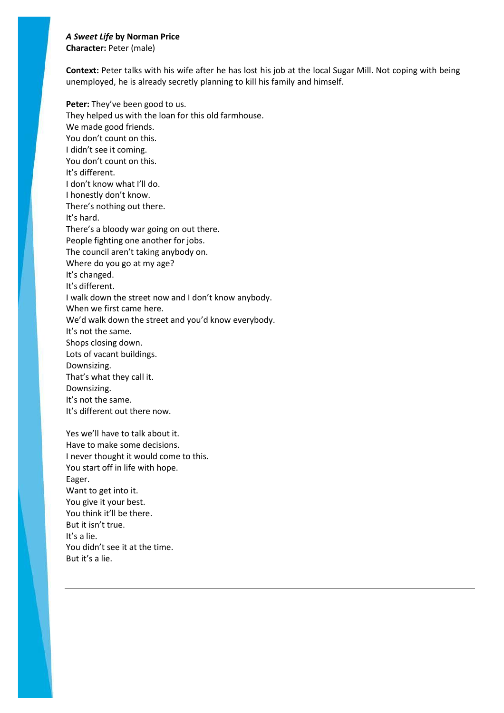#### *A Sweet Life* **by Norman Price**

**Character:** Peter (male)

**Context:** Peter talks with his wife after he has lost his job at the local Sugar Mill. Not coping with being unemployed, he is already secretly planning to kill his family and himself.

**Peter:** They've been good to us. They helped us with the loan for this old farmhouse. We made good friends. You don't count on this. I didn't see it coming. You don't count on this. It's different. I don't know what I'll do. I honestly don't know. There's nothing out there. It's hard. There's a bloody war going on out there. People fighting one another for jobs. The council aren't taking anybody on. Where do you go at my age? It's changed. It's different. I walk down the street now and I don't know anybody. When we first came here. We'd walk down the street and you'd know everybody. It's not the same. Shops closing down. Lots of vacant buildings. Downsizing. That's what they call it. Downsizing. It's not the same.

It's different out there now.

Yes we'll have to talk about it. Have to make some decisions. I never thought it would come to this. You start off in life with hope. Eager. Want to get into it. You give it your best. You think it'll be there. But it isn't true. It's a lie. You didn't see it at the time. But it's a lie.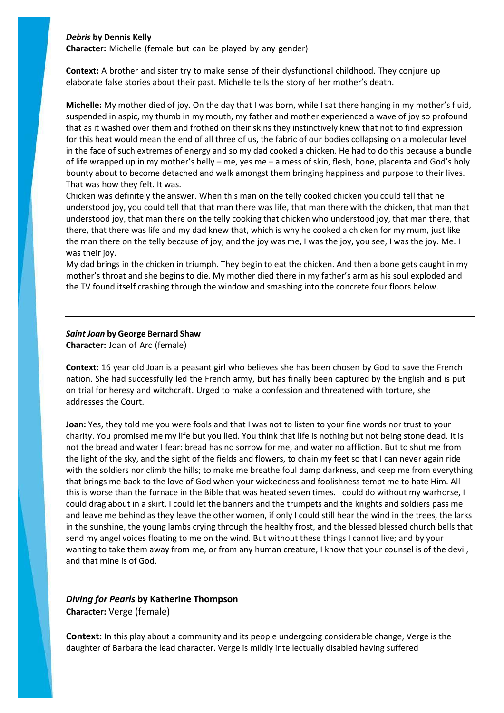#### *Debris* **by Dennis Kelly**

**Character:** Michelle (female but can be played by any gender)

**Context:** A brother and sister try to make sense of their dysfunctional childhood. They conjure up elaborate false stories about their past. Michelle tells the story of her mother's death.

**Michelle:** My mother died of joy. On the day that I was born, while I sat there hanging in my mother's fluid, suspended in aspic, my thumb in my mouth, my father and mother experienced a wave of joy so profound that as it washed over them and frothed on their skins they instinctively knew that not to find expression for this heat would mean the end of all three of us, the fabric of our bodies collapsing on a molecular level in the face of such extremes of energy and so my dad cooked a chicken. He had to do this because a bundle of life wrapped up in my mother's belly – me, yes me – a mess of skin, flesh, bone, placenta and God's holy bounty about to become detached and walk amongst them bringing happiness and purpose to their lives. That was how they felt. It was.

Chicken was definitely the answer. When this man on the telly cooked chicken you could tell that he understood joy, you could tell that that man there was life, that man there with the chicken, that man that understood joy, that man there on the telly cooking that chicken who understood joy, that man there, that there, that there was life and my dad knew that, which is why he cooked a chicken for my mum, just like the man there on the telly because of joy, and the joy was me, I was the joy, you see, I was the joy. Me. I was their joy.

My dad brings in the chicken in triumph. They begin to eat the chicken. And then a bone gets caught in my mother's throat and she begins to die. My mother died there in my father's arm as his soul exploded and the TV found itself crashing through the window and smashing into the concrete four floors below.

# *Saint Joan* **by George Bernard Shaw**

**Character:** Joan of Arc (female)

**Context:** 16 year old Joan is a peasant girl who believes she has been chosen by God to save the French nation. She had successfully led the French army, but has finally been captured by the English and is put on trial for heresy and witchcraft. Urged to make a confession and threatened with torture, she addresses the Court.

**Joan:** Yes, they told me you were fools and that I was not to listen to your fine words nor trust to your charity. You promised me my life but you lied. You think that life is nothing but not being stone dead. It is not the bread and water I fear: bread has no sorrow for me, and water no affliction. But to shut me from the light of the sky, and the sight of the fields and flowers, to chain my feet so that I can never again ride with the soldiers nor climb the hills; to make me breathe foul damp darkness, and keep me from everything that brings me back to the love of God when your wickedness and foolishness tempt me to hate Him. All this is worse than the furnace in the Bible that was heated seven times. I could do without my warhorse, I could drag about in a skirt. I could let the banners and the trumpets and the knights and soldiers pass me and leave me behind as they leave the other women, if only I could still hear the wind in the trees, the larks in the sunshine, the young lambs crying through the healthy frost, and the blessed blessed church bells that send my angel voices floating to me on the wind. But without these things I cannot live; and by your wanting to take them away from me, or from any human creature, I know that your counsel is of the devil, and that mine is of God.

*Diving for Pearls* **by Katherine Thompson Character:** Verge (female)

**Context:** In this play about a community and its people undergoing considerable change, Verge is the daughter of Barbara the lead character. Verge is mildly intellectually disabled having suffered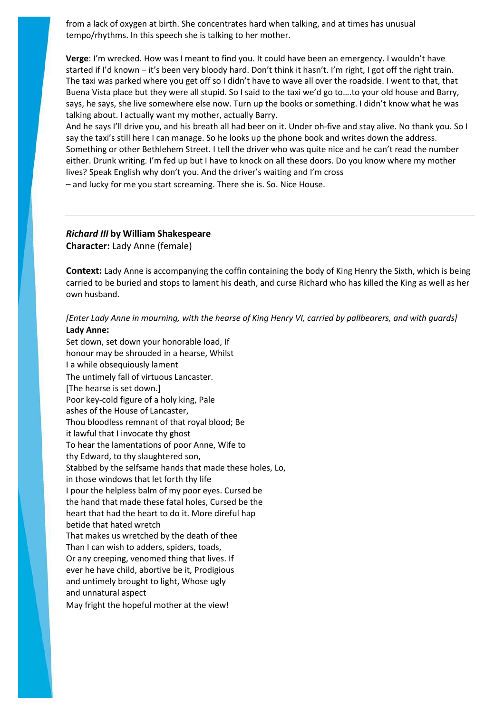from a lack of oxygen at birth. She concentrates hard when talking, and at times has unusual tempo/rhythms. In this speech she is talking to her mother.

**Verge**: I'm wrecked. How was I meant to find you. It could have been an emergency. I wouldn't have started if I'd known – it's been very bloody hard. Don't think it hasn't. I'm right, I got off the right train. The taxi was parked where you get off so I didn't have to wave all over the roadside. I went to that, that Buena Vista place but they were all stupid. So I said to the taxi we'd go to….to your old house and Barry, says, he says, she live somewhere else now. Turn up the books or something. I didn't know what he was talking about. I actually want my mother, actually Barry.

And he says I'll drive you, and his breath all had beer on it. Under oh-five and stay alive. No thank you. So I say the taxi's still here I can manage. So he looks up the phone book and writes down the address. Something or other Bethlehem Street. I tell the driver who was quite nice and he can't read the number either. Drunk writing. I'm fed up but I have to knock on all these doors. Do you know where my mother lives? Speak English why don't you. And the driver's waiting and I'm cross

– and lucky for me you start screaming. There she is. So. Nice House.

#### *Richard III* **by William Shakespeare Character:** Lady Anne (female)

**Context:** Lady Anne is accompanying the coffin containing the body of King Henry the Sixth, which is being carried to be buried and stops to lament his death, and curse Richard who has killed the King as well as her own husband.

#### [Enter Lady Anne in mourning, with the hearse of King Henry VI, carried by pallbearers, and with guards] **Lady Anne:**

Set down, set down your honorable load, If honour may be shrouded in a hearse, Whilst I a while obsequiously lament The untimely fall of virtuous Lancaster. [The hearse is set down.] Poor key-cold figure of a holy king, Pale ashes of the House of Lancaster, Thou bloodless remnant of that royal blood; Be it lawful that I invocate thy ghost To hear the lamentations of poor Anne, Wife to thy Edward, to thy slaughtered son, Stabbed by the selfsame hands that made these holes, Lo, in those windows that let forth thy life I pour the helpless balm of my poor eyes. Cursed be the hand that made these fatal holes, Cursed be the heart that had the heart to do it. More direful hap betide that hated wretch That makes us wretched by the death of thee Than I can wish to adders, spiders, toads, Or any creeping, venomed thing that lives. If ever he have child, abortive be it, Prodigious and untimely brought to light, Whose ugly and unnatural aspect May fright the hopeful mother at the view!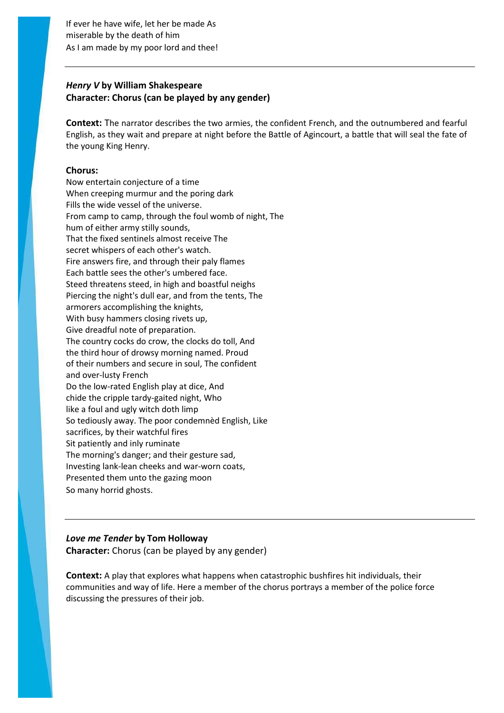If ever he have wife, let her be made As miserable by the death of him As I am made by my poor lord and thee!

#### *Henry V* **by William Shakespeare Character: Chorus (can be played by any gender)**

**Context:** The narrator describes the two armies, the confident French, and the outnumbered and fearful English, as they wait and prepare at night before the Battle of Agincourt, a battle that will seal the fate of the young King Henry.

#### **Chorus:**

Now entertain conjecture of a time When creeping murmur and the poring dark Fills the wide vessel of the universe. From camp to camp, through the foul womb of night, The hum of either army stilly sounds, That the fixed sentinels almost receive The secret whispers of each other's watch. Fire answers fire, and through their paly flames Each battle sees the other's umbered face. Steed threatens steed, in high and boastful neighs Piercing the night's dull ear, and from the tents, The armorers accomplishing the knights, With busy hammers closing rivets up, Give dreadful note of preparation. The country cocks do crow, the clocks do toll, And the third hour of drowsy morning named. Proud of their numbers and secure in soul, The confident and over-lusty French Do the low-rated English play at dice, And chide the cripple tardy-gaited night, Who like a foul and ugly witch doth limp So tediously away. The poor condemnèd English, Like sacrifices, by their watchful fires Sit patiently and inly ruminate The morning's danger; and their gesture sad, Investing lank-lean cheeks and war-worn coats, Presented them unto the gazing moon So many horrid ghosts.

#### *Love me Tender* **by Tom Holloway Character:** Chorus (can be played by any gender)

**Context:** A play that explores what happens when catastrophic bushfires hit individuals, their communities and way of life. Here a member of the chorus portrays a member of the police force discussing the pressures of their job.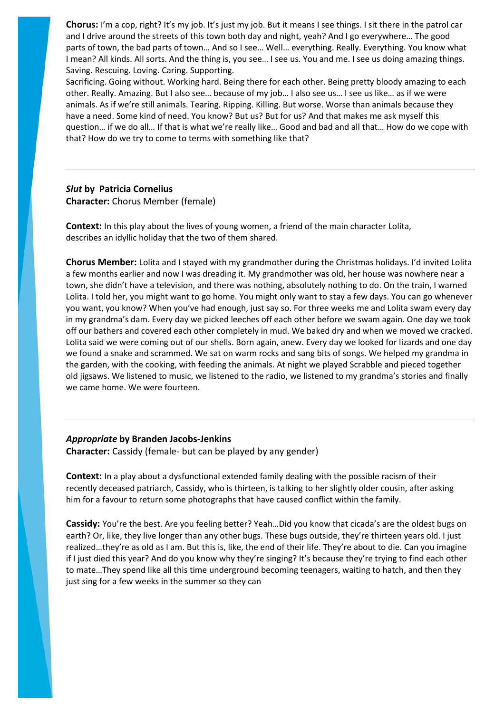**Chorus:** I'm a cop, right? It's my job. It's just my job. But it means I see things. I sit there in the patrol car and I drive around the streets of this town both day and night, yeah? And I go everywhere... The good parts of town, the bad parts of town… And so I see… Well… everything. Really. Everything. You know what I mean? All kinds. All sorts. And the thing is, you see… I see us. You and me. I see us doing amazing things. Saving. Rescuing. Loving. Caring. Supporting.

Sacrificing. Going without. Working hard. Being there for each other. Being pretty bloody amazing to each other. Really. Amazing. But I also see… because of my job… I also see us… I see us like… as if we were animals. As if we're still animals. Tearing. Ripping. Killing. But worse. Worse than animals because they have a need. Some kind of need. You know? But us? But for us? And that makes me ask myself this question… if we do all… If that is what we're really like… Good and bad and all that… How do we cope with that? How do we try to come to terms with something like that?

#### *Slut* **by Patricia Cornelius Character:** Chorus Member (female)

**Context:** In this play about the lives of young women, a friend of the main character Lolita, describes an idyllic holiday that the two of them shared.

**Chorus Member:** Lolita and I stayed with my grandmother during the Christmas holidays. I'd invited Lolita a few months earlier and now I was dreading it. My grandmother was old, her house was nowhere near a town, she didn't have a television, and there was nothing, absolutely nothing to do. On the train, I warned Lolita. I told her, you might want to go home. You might only want to stay a few days. You can go whenever you want, you know? When you've had enough, just say so. For three weeks me and Lolita swam every day in my grandma's dam. Every day we picked leeches off each other before we swam again. One day we took off our bathers and covered each other completely in mud. We baked dry and when we moved we cracked. Lolita said we were coming out of our shells. Born again, anew. Every day we looked for lizards and one day we found a snake and scrammed. We sat on warm rocks and sang bits of songs. We helped my grandma in the garden, with the cooking, with feeding the animals. At night we played Scrabble and pieced together old jigsaws. We listened to music, we listened to the radio, we listened to my grandma's stories and finally we came home. We were fourteen.

#### *Appropriate* **by Branden Jacobs-Jenkins**

**Character:** Cassidy (female- but can be played by any gender)

**Context:** In a play about a dysfunctional extended family dealing with the possible racism of their recently deceased patriarch, Cassidy, who is thirteen, is talking to her slightly older cousin, after asking him for a favour to return some photographs that have caused conflict within the family.

**Cassidy:** You're the best. Are you feeling better? Yeah…Did you know that cicada's are the oldest bugs on earth? Or, like, they live longer than any other bugs. These bugs outside, they're thirteen years old. I just realized…they're as old as I am. But this is, like, the end of their life. They're about to die. Can you imagine if I just died this year? And do you know why they're singing? It's because they're trying to find each other to mate…They spend like all this time underground becoming teenagers, waiting to hatch, and then they just sing for a few weeks in the summer so they can